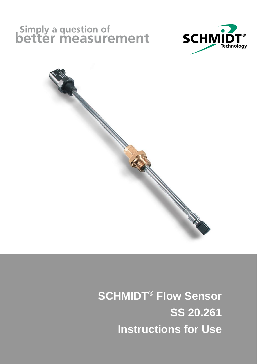# Simply a question of<br>**better measurement**





 **SCHMIDT® Flow Sensor SS 20.261 Instructions for Use**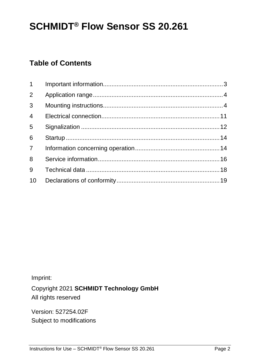# **SCHMIDT® Flow Sensor SS 20.261**

## **Table of Contents**

| $1 \quad$      |  |
|----------------|--|
| $\overline{2}$ |  |
| 3              |  |
| $\overline{4}$ |  |
| 5              |  |
| 6              |  |
| 7 <sup>7</sup> |  |
| 8              |  |
| 9              |  |
| 10             |  |

Imprint:

Copyright 2021 **SCHMIDT Technology GmbH** All rights reserved

Version: 527254.02F Subject to modifications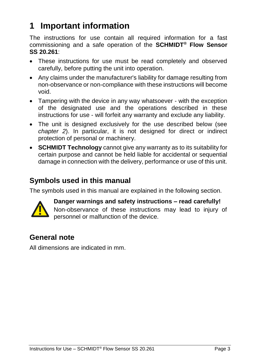## <span id="page-2-0"></span>**1 Important information**

The instructions for use contain all required information for a fast commissioning and a safe operation of the **SCHMIDT® Flow Sensor SS 20.261**:

- These instructions for use must be read completely and observed carefully, before putting the unit into operation.
- Any claims under the manufacturer's liability for damage resulting from non-observance or non-compliance with these instructions will become void.
- Tampering with the device in any way whatsoever with the exception of the designated use and the operations described in these instructions for use - will forfeit any warranty and exclude any liability.
- The unit is designed exclusively for the use described below (see *chapter [2](#page-3-0)*). In particular, it is not designed for direct or indirect protection of personal or machinery.
- **SCHMIDT Technology** cannot give any warranty as to its suitability for certain purpose and cannot be held liable for accidental or sequential damage in connection with the delivery, performance or use of this unit.

## **Symbols used in this manual**

The symbols used in this manual are explained in the following section.



**Danger warnings and safety instructions – read carefully!**  Non-observance of these instructions may lead to injury of personnel or malfunction of the device.

## **General note**

All dimensions are indicated in mm.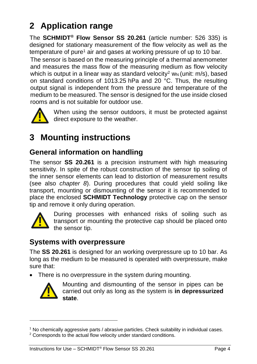## <span id="page-3-0"></span>**2 Application range**

The **SCHMIDT® Flow Sensor SS 20.261** (article number: 526 335) is designed for stationary measurement of the flow velocity as well as the temperature of pure<sup>1</sup> air and gases at working pressure of up to 10 bar.

The sensor is based on the measuring principle of a thermal anemometer and measures the mass flow of the measuring medium as flow velocity which is output in a linear way as standard velocity<sup>2</sup> w<sub>N</sub> (unit:  $m/s$ ), based on standard conditions of 1013.25 hPa and 20 °C. Thus, the resulting output signal is independent from the pressure and temperature of the medium to be measured. The sensor is designed for the use inside closed rooms and is not suitable for outdoor use.



When using the sensor outdoors, it must be protected against direct exposure to the weather.

# <span id="page-3-1"></span>**3 Mounting instructions**

## **General information on handling**

The sensor **SS 20.261** is a precision instrument with high measuring sensitivity. In spite of the robust construction of the sensor tip soiling of the inner sensor elements can lead to distortion of measurement results (see also *chapter [8](#page-15-0)*). During procedures that could yield soiling like transport, mounting or dismounting of the sensor it is recommended to place the enclosed **SCHMIDT Technology** protective cap on the sensor tip and remove it only during operation. When using the sensor outdoors, it must be<br>direct exposure to the weather.<br> **3 Mounting instructions**<br> **Ceneral information on handling**<br>
The sensor SS 20.261 is a precision instrument w<br>
transport, mounting or dismonuting



During processes with enhanced risks of soiling such as transport or mounting the protective cap should be placed onto the sensor tip.

## **Systems with overpressure**

The **SS 20.261** is designed for an working overpressure up to 10 bar. As long as the medium to be measured is operated with overpressure, make sure that:

There is no overpressure in the system during mounting.



1

Mounting and dismounting of the sensor in pipes can be carried out only as long as the system is **in depressurized state**.

<sup>1</sup> No chemically aggressive parts / abrasive particles. Check suitability in individual cases.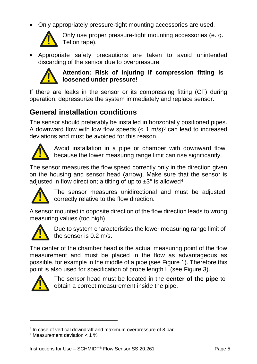Only appropriately pressure-tight mounting accessories are used.



Only use proper pressure-tight mounting accessories (e. g. Teflon tape).

 Appropriate safety precautions are taken to avoid unintended discarding of the sensor due to overpressure.



#### **Attention: Risk of injuring if compression fitting is loosened under pressure!**

If there are leaks in the sensor or its compressing fitting (CF) during operation, depressurize the system immediately and replace sensor.

## **General installation conditions**

The sensor should preferably be installed in horizontally positioned pipes. A downward flow with low flow speeds  $(< 1 \text{ m/s})^3$  can lead to increased deviations and must be avoided for this reason.



Avoid installation in a pipe or chamber with downward flow because the lower measuring range limit can rise significantly.

The sensor measures the flow speed correctly only in the direction given on the housing and sensor head (arrow). Make sure that the sensor is adjusted in flow direction; a tilting of up to  $\pm 3^{\circ}$  is allowed<sup>4</sup>.



The sensor measures unidirectional and must be adjusted correctly relative to the flow direction.

A sensor mounted in opposite direction of the flow direction leads to wrong measuring values (too high).



Due to system characteristics the lower measuring range limit of the sensor is 0.2 m/s.

The center of the chamber head is the actual measuring point of the flow measurement and must be placed in the flow as advantageous as possible, for example in the middle of a pipe (see [Figure 1\)](#page-5-0). Therefore this point is also used for specification of probe length L (see [Figure](#page-8-0) 3). Only use pro<br>
• Appropriate safety I<br>
discarding of the sens<br> **Attention: F**<br> **Exerce in Attention:**<br>
If there are leaks in the<br>
operation, depressurize to<br> **General installation**<br>
The sensor should prefer<br>
A downward fl



1

The sensor head must be located in the **center of the pipe** to obtain a correct measurement inside the pipe.

<sup>&</sup>lt;sup>3</sup> In case of vertical downdraft and maximum overpressure of 8 bar.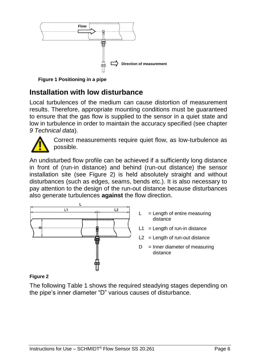

<span id="page-5-0"></span>**Figure 1 Positioning in a pipe**

#### **Installation with low disturbance**

Local turbulences of the medium can cause distortion of measurement results. Therefore, appropriate mounting conditions must be guaranteed to ensure that the gas flow is supplied to the sensor in a quiet state and low in turbulence in order to maintain the accuracy specified (see chapter *[9](#page-17-0) [Technical data](#page-17-0)*).



Correct measurements require quiet flow, as low-turbulence as possible.

An undisturbed flow profile can be achieved if a sufficiently long distance in front of (run-in distance) and behind (run-out distance) the sensor installation site (see [Figure 2\)](#page-5-1) is held absolutely straight and without disturbances (such as edges, seams, bends etc.). It is also necessary to pay attention to the design of the run-out distance because disturbances also generate turbulences **against** the flow direction.



- $L = L$ ength of entire measuring distance
- $L1 =$  Length of run-in distance
- $L2 =$  Length of run-out distance
- $D =$  Inner diameter of measuring distance

#### <span id="page-5-1"></span>**Figure 2**

The following [Table 1](#page-6-0) shows the required steadying stages depending on the pipe's inner diameter "D" various causes of disturbance.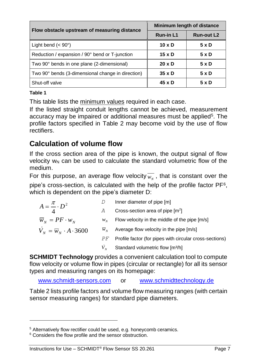| Flow obstacle upstream of measuring distance      | Minimum length of distance |                   |  |
|---------------------------------------------------|----------------------------|-------------------|--|
|                                                   | <b>Run-in L1</b>           | <b>Run-out L2</b> |  |
| Light bend $(< 90^\circ)$                         | $10 \times D$              | 5 x D             |  |
| Reduction / expansion / 90° bend or T-junction    | $15 \times D$              | 5xD               |  |
| Two 90° bends in one plane (2-dimensional)        | $20 \times D$              | 5xD               |  |
| Two 90° bends (3-dimensional change in direction) | $35 \times D$              | $5 \times D$      |  |
| Shut-off valve                                    | $45 \times D$              | 5 x D             |  |

#### <span id="page-6-0"></span>**Table 1**

1

This table lists the minimum values required in each case.

If the listed straight conduit lengths cannot be achieved, measurement accuracy may be impaired or additional measures must be applied<sup>5</sup>. The profile factors specified in [Table 2](#page-7-0) may become void by the use of flow rectifiers.

## **Calculation of volume flow**

If the cross section area of the pipe is known, the output signal of flow velocity  $w_N$  can be used to calculate the standard volumetric flow of the medium.

For this purpose, an average flow velocity  $\overline{w_{N}}$ , that is constant over the

pipe's cross-section, is calculated with the help of the profile factor PF<sup>6</sup> , which is dependent on the pipe's diameter D:

|                                                 |               | Inner diameter of pipe [m]                              |
|-------------------------------------------------|---------------|---------------------------------------------------------|
| $A = \frac{\pi}{4} \cdot D^2$                   | A             | Cross-section area of pipe $[m^2]$                      |
| $\overline{w}_N = PF \cdot w_N$                 | $W_{\rm M}$   | Flow velocity in the middle of the pipe [m/s]           |
| $\dot{V}_N = \overline{W}_N \cdot A \cdot 3600$ | $W_{\lambda}$ | Average flow velocity in the pipe [m/s]                 |
|                                                 | PF            | Profile factor (for pipes with circular cross-sections) |
|                                                 | $V_{\tiny M}$ | Standard volumetric flow [m3/h]                         |

**SCHMIDT Technology** provides a convenient calculation tool to compute flow velocity or volume flow in pipes (circular or rectangle) for all its sensor types and measuring ranges on its homepage:

[www.schmidt-sensors.com](http://www.schmidt-sensors.com/) or [www.schmidttechnology.de](http://www.schmidttechnology.de/)

[Table 2](#page-7-0) lists profile factors and volume flow measuring ranges (with certain sensor measuring ranges) for standard pipe diameters.

<sup>&</sup>lt;sup>5</sup> Alternatively flow rectifier could be used, e.g. honeycomb ceramics.

<sup>&</sup>lt;sup>6</sup> Considers the flow profile and the sensor obstruction.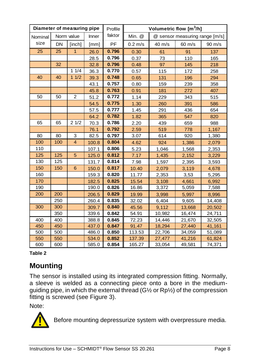| Diameter of measuring pipe |           |                |       | Profile | Volumetric flow [m <sup>3</sup> /h] |                  |                                |                  |
|----------------------------|-----------|----------------|-------|---------|-------------------------------------|------------------|--------------------------------|------------------|
| Nominal                    |           | Norm value     | Inner | faktor  | Min. @                              |                  | @ sensor measuring range [m/s] |                  |
| size                       | <b>DN</b> | [inch]         | [mm]  | PF      | $0.2$ m/s                           | $40 \text{ m/s}$ | $60 \text{ m/s}$               | $90 \text{ m/s}$ |
| 25                         | 25        | $\mathbf{1}$   | 26.0  | 0.796   | 0.30                                | 61               | 91                             | 137              |
|                            |           |                | 28.5  | 0.796   | 0.37                                | 73               | 110                            | 165              |
|                            | 32        |                | 32.8  | 0.796   | 0.48                                | 97               | 145                            | 218              |
|                            |           | 11/4           | 36.3  | 0.770   | 0.57                                | 115              | 172                            | 258              |
| 40                         | 40        | 11/2           | 39.3  | 0.748   | 0.65                                | 131              | 196                            | 294              |
|                            |           |                | 43.1  | 0.757   | 0.80                                | 159              | 239                            | 358              |
|                            |           |                | 45.8  | 0.763   | 0.91                                | 181              | 272                            | 407              |
| 50                         | 50        | $\overline{2}$ | 51.2  | 0.772   | 1.14                                | 229              | 343                            | 515              |
|                            |           |                | 54.5  | 0.775   | 1.30                                | 260              | 391                            | 586              |
|                            |           |                | 57.5  | 0.777   | 1.45                                | 291              | 436                            | 654              |
|                            |           |                | 64.2  | 0.782   | 1.82                                | 365              | 547                            | 820              |
| 65                         | 65        | 21/2           | 70.3  | 0.786   | 2.20                                | 439              | 659                            | 988              |
|                            |           |                | 76.1  | 0.792   | 2.59                                | 519              | 778                            | 1,167            |
| 80                         | 80        | 3              | 82.5  | 0.797   | 3.07                                | 614              | 920                            | 1,380            |
| 100                        | 100       | $\overline{4}$ | 100.8 | 0.804   | 4.62                                | 924              | 1,386                          | 2,079            |
| 110                        |           |                | 107.1 | 0.806   | 5.23                                | 1,046            | 1,568                          | 2,353            |
| 125                        | 125       | 5              | 125.0 | 0.812   | 7.17                                | 1,435            | 2,152                          | 3,229            |
| 130                        | 125       |                | 131.7 | 0.814   | 7.98                                | 1,597            | 2,395                          | 3,593            |
| 150                        | 150       | 6              | 150.0 | 0.817   | 10.40                               | 2,079            | 3,119                          | 4,678            |
| 160                        |           |                | 159.3 | 0.820   | 11.77                               | 2,353            | 3,53                           | 5,295            |
| 170                        |           |                | 182.5 | 0.825   | 15.54                               | 3,108            | 4,661                          | 6,992            |
| 190                        |           |                | 190.0 | 0.826   | 16.86                               | 3,372            | 5,059                          | 7,588            |
| 200                        | 200       |                | 206.5 | 0.829   | 19.99                               | 3,998            | 5,997                          | 8,996            |
|                            | 250       |                | 260.4 | 0.835   | 32.02                               | 6,404            | 9,605                          | 14,408           |
| 300                        | 300       |                | 309.7 | 0.840   | 45.56                               | 9,112            | 13,668                         | 20,502           |
|                            | 350       |                | 339.6 | 0.842   | 54.91                               | 10,982           | 16,474                         | 24,711           |
| 400                        | 400       |                | 388.8 | 0.845   | 72.23                               | 14,446           | 21,670                         | 32,505           |
| 450                        | 450       |                | 437.0 | 0.847   | 91.47                               | 18,294           | 27,440                         | 41,161           |
| 500                        | 500       |                | 486.0 | 0.850   | 113.53                              | 22,706           | 34,059                         | 51,089           |
| 550                        | 550       |                | 534.0 | 0.852   | 137.39                              | 27,477           | 41,216                         | 61,824           |
| 600                        | 600       |                | 585.0 | 0.854   | 165.27                              | 33,054           | 49,581                         | 74,371           |

#### <span id="page-7-0"></span>**Table 2**

## **Mounting**

The sensor is installed using its integrated compression fitting. Normally, a sleeve is welded as a connecting piece onto a bore in the mediumguiding pipe, in which the external thread (G½ or Rp½) of the compression fitting is screwed (see [Figure](#page-8-0) 3).

Note:



Before mounting depressurize system with overpressure media.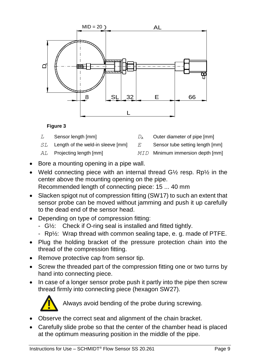

#### **Figure 3**

- <span id="page-8-0"></span>*L* Sensor length [mm] *D<sup>A</sup>* Outer diameter of pipe [mm]
- *SL* Length of the weld-in sleeve [mm] *E* Sensor tube setting length [mm]
- *AL* Projecting length [mm] *MID* Minimum immersion depth [mm]
- Bore a mounting opening in a pipe wall.
- Weld connecting piece with an internal thread G<sup>1</sup>/<sub>2</sub> resp. Rp<sup>1</sup>/<sub>2</sub> in the center above the mounting opening on the pipe. Recommended length of connecting piece: 15 ... 40 mm
- Slacken spigot nut of compression fitting (SW17) to such an extent that sensor probe can be moved without jamming and push it up carefully to the dead end of the sensor head.
- Depending on type of compression fitting:
	- G½: Check if O-ring seal is installed and fitted tightly.
	- Rp½: Wrap thread with common sealing tape, e. g. made of PTFE.
- Plug the holding bracket of the pressure protection chain into the thread of the compression fitting.
- Remove protective cap from sensor tip.
- Screw the threaded part of the compression fitting one or two turns by hand into connecting piece.
- In case of a longer sensor probe push it partly into the pipe then screw thread firmly into connecting piece (hexagon SW27).



Always avoid bending of the probe during screwing.

- Observe the correct seat and alignment of the chain bracket.
- Carefully slide probe so that the center of the chamber head is placed at the optimum measuring position in the middle of the pipe.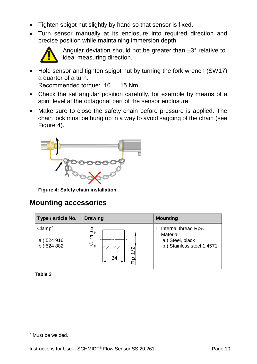- Tighten spigot nut slightly by hand so that sensor is fixed.
- Turn sensor manually at its enclosure into required direction and precise position while maintaining immersion depth.



Angular deviation should not be greater than  $\pm 3^{\circ}$  relative to ideal measuring direction.

• Hold sensor and tighten spigot nut by turning the fork wrench (SW17) a quarter of a turn.

Recommended torque: 10 … 15 Nm

- Check the set angular position carefully, for example by means of a spirit level at the octagonal part of the sensor enclosure.
- Make sure to close the safety chain before pressure is applied. The chain lock must be hung up in a way to avoid sagging of the chain (see [Figure 4\)](#page-9-0).



<span id="page-9-0"></span>**Figure 4: Safety chain installation**

#### **Mounting accessories**

| Type / article No.                               | <b>Drawing</b>                     | <b>Mounting</b>                                                                      |
|--------------------------------------------------|------------------------------------|--------------------------------------------------------------------------------------|
| Clamp <sup>7</sup><br>a.) 524 916<br>b.) 524 882 | $\sim$<br>ဖ<br>26.<br>Ø<br>34<br>œ | Internal thread Rp1/2<br>Material:<br>a.) Steel, black<br>b.) Stainless steel 1.4571 |

**Table 3**

-

<sup>7</sup> Must be welded*.*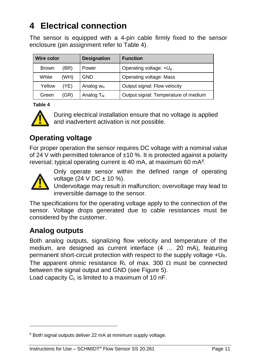## <span id="page-10-0"></span>**4 Electrical connection**

The sensor is equipped with a 4-pin cable firmly fixed to the sensor enclosure (pin assignment refer to [Table 4\)](#page-10-1).

| <b>Wire color</b> |      | <b>Designation</b>    | <b>Function</b>                      |
|-------------------|------|-----------------------|--------------------------------------|
| <b>Brown</b>      | (BR) | Power                 | Operating voltage: $+U_B$            |
| White             | (WH) | <b>GND</b>            | Operating voltage: Mass              |
| Yellow            | (YE) | Analog w <sub>N</sub> | Output signal: Flow velocity         |
| Green             | (GR) | Analog $T_M$          | Output signal: Temperature of medium |

<span id="page-10-1"></span>**Table 4**



During electrical installation ensure that no voltage is applied and inadvertent activation is not possible.

## **Operating voltage**

For proper operation the sensor requires DC voltage with a nominal value of 24 V with permitted tolerance of  $\pm$ 10 %. It is protected against a polarity reversal; typical operating current is 40 mA, at maximum 60 mA<sup>8</sup>.



-

Only operate sensor within the defined range of operating voltage  $(24 \text{ V DC} \pm 10 \%)$ .

Undervoltage may result in malfunction; overvoltage may lead to irreversible damage to the sensor.

The specifications for the operating voltage apply to the connection of the sensor. Voltage drops generated due to cable resistances must be considered by the customer.

## **Analog outputs**

Both analog outputs, signalizing flow velocity and temperature of the medium, are designed as current interface (4 … 20 mA), featuring permanent short-circuit protection with respect to the supply voltage +U<sub>B</sub>. The apparent ohmic resistance R<sub>L</sub> of max. 300  $\Omega$  must be connected between the signal output and GND (see [Figure 5\)](#page-11-1). **Example in the signal of the signal outputs deliver 22 mA at minimum supply voltage.**<br> **Derating voltage**<br>
For proper operation the sensor requires DC voltage<br>
of 24 V with permitted tolerance of ±10 %. It is prote<br>
rever

Load capacity  $C<sub>1</sub>$  is limited to a maximum of 10 nF.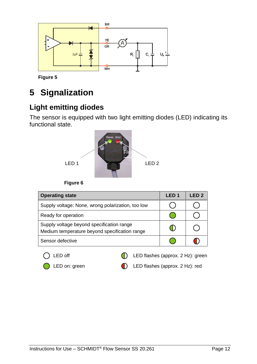

<span id="page-11-1"></span>**Figure 5**

# <span id="page-11-0"></span>**5 Signalization**

## **Light emitting diodes**

The sensor is equipped with two light emitting diodes (LED) indicating its functional state.



**Figure 6**

| <b>Operating state</b>                                                                     | LED 1 | LED 2 |
|--------------------------------------------------------------------------------------------|-------|-------|
| Supply voltage: None, wrong polarization, too low                                          |       |       |
| Ready for operation                                                                        |       |       |
| Supply voltage beyond specification range<br>Medium temperature beyond specification range |       |       |
| Sensor defective                                                                           |       |       |



LED off **CED** flashes (approx. 2 Hz): green

LED on: green **CO** LED flashes (approx. 2 Hz): red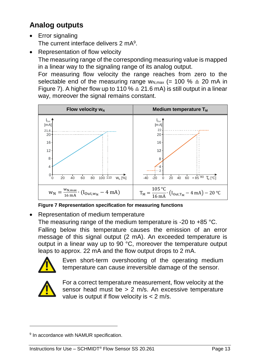## **Analog outputs**

- Error signaling The current interface delivers 2 mA<sup>9</sup>.
- Representation of flow velocity

The measuring range of the corresponding measuring value is mapped in a linear way to the signaling range of its analog output.

For measuring flow velocity the range reaches from zero to the selectable end of the measuring range w<sub>N,max</sub> (= 100 %  $\triangleq$  20 mA in [Figure 7\)](#page-12-0). A higher flow up to 110 %  $\triangleq$  21.6 mA) is still output in a linear way, moreover the signal remains constant.



<span id="page-12-0"></span>**Figure 7 Representation specification for measuring functions**

Representation of medium temperature

The measuring range of the medium temperature is -20 to +85 °C.

Falling below this temperature causes the emission of an error message of this signal output (2 mA). An exceeded temperature is output in a linear way up to 90 °C, moreover the temperature output leaps to approx. 22 mA and the flow output drops to 2 mA.



Even short-term overshooting of the operating medium temperature can cause irreversible damage of the sensor.



-

For a correct temperature measurement, flow velocity at the sensor head must be > 2 m/s. An excessive temperature value is output if flow velocity is < 2 m/s.

<sup>&</sup>lt;sup>9</sup> In accordance with NAMUR specification.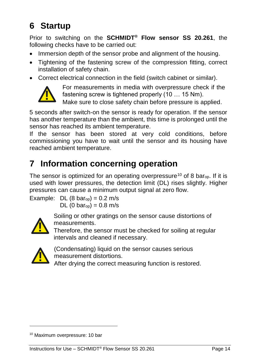# <span id="page-13-0"></span>**6 Startup**

Prior to switching on the **SCHMIDT® Flow sensor SS 20.261**, the following checks have to be carried out:

- Immersion depth of the sensor probe and alignment of the housing.
- Tightening of the fastening screw of the compression fitting, correct installation of safety chain.
- Correct electrical connection in the field (switch cabinet or similar).



For measurements in media with overpressure check if the fastening screw is tightened properly (10 … 15 Nm).

Make sure to close safety chain before pressure is applied.

5 seconds after switch-on the sensor is ready for operation. If the sensor has another temperature than the ambient, this time is prolonged until the sensor has reached its ambient temperature.

If the sensor has been stored at very cold conditions, before commissioning you have to wait until the sensor and its housing have reached ambient temperature.

## <span id="page-13-1"></span>**7 Information concerning operation**

The sensor is optimized for an operating overpressure<sup>10</sup> of 8 bar<sub>op</sub>. If it is used with lower pressures, the detection limit (DL) rises slightly. Higher pressures can cause a minimum output signal at zero flow. Make sure to c<br>
5 seconds after switch-on<br>
thas another temperature th<br>
sensor has reached its am<br>
lf the sensor has been<br>
commissioning you have t<br>
reached ambient temperature<br> **7 Information COI**<br>
The sensor is optimized

Example: DL  $(8 \text{ bar}_{op}) = 0.2 \text{ m/s}$  $DL (0 bar_{op}) = 0.8 m/s$ 



Soiling or other gratings on the sensor cause distortions of measurements.

Therefore, the sensor must be checked for soiling at regular intervals and cleaned if necessary.



-

(Condensating) liquid on the sensor causes serious measurement distortions.

After drying the correct measuring function is restored.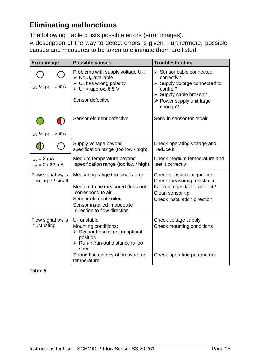## **Eliminating malfunctions**

The following [Table 5](#page-14-0) lists possible errors (error images).

A description of the way to detect errors is given. Furthermore, possible causes and measures to be taken to eliminate them are listed.

| <b>Error</b> image                        |        | <b>Possible causes</b>                                                                                                                                                                                                  | Troubleshooting                                                                                                                                                                     |  |
|-------------------------------------------|--------|-------------------------------------------------------------------------------------------------------------------------------------------------------------------------------------------------------------------------|-------------------------------------------------------------------------------------------------------------------------------------------------------------------------------------|--|
| $I_{WN}$ & $I_{TM} = 0$ mA                |        | Problems with supply voltage $U_B$ :<br>$\triangleright$ No U <sub>B</sub> available<br>$\triangleright$ U <sub>B</sub> has wrong polarity<br>$\triangleright$ U <sub>B</sub> < approx. 6.5 V<br>Sensor defective       | $\triangleright$ Sensor cable connected<br>correctly?<br>> Supply voltage connected to<br>control?<br>$\triangleright$ Supply cable broken?<br>> Power supply unit large<br>enough? |  |
| $\bigcirc$                                | $\Box$ | Sensor element defective                                                                                                                                                                                                | Send in sensor for repair                                                                                                                                                           |  |
| $I_{wN}$ & $I_{TM} = 2$ mA                |        |                                                                                                                                                                                                                         |                                                                                                                                                                                     |  |
|                                           |        | Supply voltage beyond<br>specification range (too low / high)                                                                                                                                                           | Check operating voltage and<br>reduce it                                                                                                                                            |  |
| $I_{wN} = 2 mA$<br>$I_{TM}$ = 2 / 22 mA   |        | Medium temperature beyond<br>specification range (too low / high)                                                                                                                                                       | Check medium temperature and<br>set it correctly                                                                                                                                    |  |
| Flow signal $w_N$ is<br>too large / small |        | Measuring range too small /large<br>Medium to be measured does not<br>correspond to air<br>Sensor element soiled<br>Sensor installed in opposite<br>direction to flow direction                                         | Check sensor configuration<br>Check measuring resistance<br>Is foreign gas factor correct?<br>Clean sensor tip<br>Check installation direction                                      |  |
| Flow signal $w_N$ is<br>fluctuating       |        | $U_{B}$ unstable<br>Mounting conditions:<br>$\triangleright$ Sensor head is not in optimal<br>position<br>$\triangleright$ Run-in/run-out distance is too<br>short<br>Strong fluctuations of pressure or<br>temperature | Check voltage supply<br>Check mounting conditions<br>Check operating parameters                                                                                                     |  |

#### <span id="page-14-0"></span>**Table 5**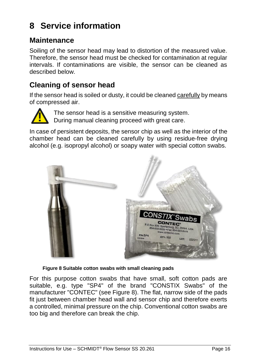## <span id="page-15-0"></span>**8 Service information**

#### **Maintenance**

Soiling of the sensor head may lead to distortion of the measured value. Therefore, the sensor head must be checked for contamination at regular intervals. If contaminations are visible, the sensor can be cleaned as described below.

## **Cleaning of sensor head**

If the sensor head is soiled or dusty, it could be cleaned carefully by means of compressed air.



The sensor head is a sensitive measuring system. During manual cleaning proceed with great care.

In case of persistent deposits, the sensor chip as well as the interior of the chamber head can be cleaned carefully by using residue-free drying alcohol (e.g. isopropyl alcohol) or soapy water with special cotton swabs.



**Figure 8 Suitable cotton swabs with small cleaning pads**

<span id="page-15-1"></span>For this purpose cotton swabs that have small, soft cotton pads are suitable, e.g. type "SP4" of the brand "CONSTIX Swabs" of the manufacturer "CONTEC" (see [Figure 8\)](#page-15-1). The flat, narrow side of the pads fit just between chamber head wall and sensor chip and therefore exerts a controlled, minimal pressure on the chip. Conventional cotton swabs are too big and therefore can break the chip.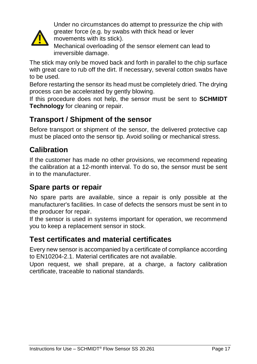

Under no circumstances do attempt to pressurize the chip with greater force (e.g. by swabs with thick head or lever movements with its stick).

Mechanical overloading of the sensor element can lead to irreversible damage.

The stick may only be moved back and forth in parallel to the chip surface with great care to rub off the dirt. If necessary, several cotton swabs have to be used.

Before restarting the sensor its head must be completely dried. The drying process can be accelerated by gently blowing.

If this procedure does not help, the sensor must be sent to **SCHMIDT Technology** for cleaning or repair.

## **Transport / Shipment of the sensor**

Before transport or shipment of the sensor, the delivered protective cap must be placed onto the sensor tip. Avoid soiling or mechanical stress.

## **Calibration**

If the customer has made no other provisions, we recommend repeating the calibration at a 12-month interval. To do so, the sensor must be sent in to the manufacturer.

## **Spare parts or repair**

No spare parts are available, since a repair is only possible at the manufacturer's facilities. In case of defects the sensors must be sent in to the producer for repair.

If the sensor is used in systems important for operation, we recommend you to keep a replacement sensor in stock.

#### **Test certificates and material certificates**

Every new sensor is accompanied by a certificate of compliance according to EN10204-2.1. Material certificates are not available.

Upon request, we shall prepare, at a charge, a factory calibration certificate, traceable to national standards.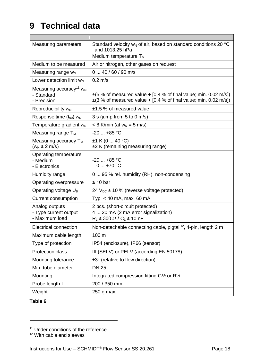## <span id="page-17-0"></span>**9 Technical data**

 $\blacksquare$ 

| Measuring parameters                                                | Standard velocity $w_N$ of air, based on standard conditions 20 $°C$<br>and 1013.25 hPa                                                        |  |  |
|---------------------------------------------------------------------|------------------------------------------------------------------------------------------------------------------------------------------------|--|--|
|                                                                     | Medium temperature $T_M$                                                                                                                       |  |  |
| Medium to be measured                                               | Air or nitrogen, other gases on request                                                                                                        |  |  |
| Measuring range $w_N$                                               | $040/60/90$ m/s                                                                                                                                |  |  |
| Lower detection limit w <sub>N</sub>                                | $0.2$ m/s                                                                                                                                      |  |  |
| Measuring accuracy <sup>11</sup> $w_N$<br>- Standard<br>- Precision | $\pm$ (5 % of measured value + [0.4 % of final value; min. 0.02 m/s])<br>$\pm$ (3 % of measured value + [0.4 % of final value; min. 0.02 m/s]) |  |  |
| Reproducibility w <sub>N</sub>                                      | $±1.5$ % of measured value                                                                                                                     |  |  |
| Response time $(t_{90})$ W <sub>N</sub>                             | $3 s$ (jump from $5 to 0 m/s$ )                                                                                                                |  |  |
| Temperature gradient w <sub>N</sub>                                 | $< 8$ K/min (at $w_N = 5$ m/s)                                                                                                                 |  |  |
| Measuring range $T_M$                                               | $-20$ $+85$ °C                                                                                                                                 |  |  |
| Measuring accuracy $T_M$<br>$(wN \ge 2 m/s)$                        | ±1 K (0  40 °C)<br>±2 K (remaining measuring range)                                                                                            |  |  |
| Operating temperature<br>- Medium<br>- Electronics                  | $-20$ +85 °C<br>$0.1 + 70$ °C                                                                                                                  |  |  |
| Humidity range                                                      | 0  95 % rel. humidity (RH), non-condensing                                                                                                     |  |  |
| Operating overpressure                                              | ≤ 10 bar                                                                                                                                       |  |  |
| Operating voltage U <sub>B</sub>                                    | 24 $V_{DC}$ ± 10 % (reverse voltage protected)                                                                                                 |  |  |
| Current consumption                                                 | Typ. $<$ 40 mA, max. 60 mA                                                                                                                     |  |  |
| Analog outputs<br>- Type current output<br>- Maximum load           | 2 pcs. (short-circuit protected)<br>4  20 mA (2 mA error signalization)<br>$R_L \leq 300 \Omega / C_L \leq 10 nF$                              |  |  |
| Electrical connection                                               | Non-detachable connecting cable, pigtail <sup>12</sup> , 4-pin, length 2 m                                                                     |  |  |
| Maximum cable length                                                | 100 m                                                                                                                                          |  |  |
| Type of protection                                                  | IP54 (enclosure), IP66 (sensor)                                                                                                                |  |  |
| <b>Protection class</b>                                             | III (SELV) or PELV (according EN 50178)                                                                                                        |  |  |
| Mounting tolerance                                                  | ±3° (relative to flow direction)                                                                                                               |  |  |
| Min. tube diameter                                                  | <b>DN 25</b>                                                                                                                                   |  |  |
| Mounting                                                            | Integrated compression fitting G1/2 or R1/2                                                                                                    |  |  |
| Probe length L                                                      | 200 / 350 mm                                                                                                                                   |  |  |
| Weight                                                              | 250 g max.                                                                                                                                     |  |  |

#### **Table 6**

1

<sup>&</sup>lt;sup>11</sup> Under conditions of the reference

<sup>&</sup>lt;sup>12</sup> With cable end sleeves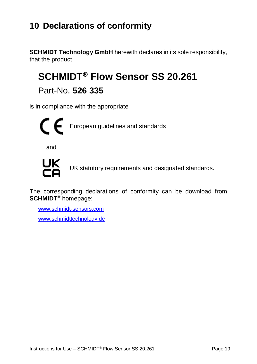## <span id="page-18-0"></span>**10 Declarations of conformity**

**SCHMIDT Technology GmbH** herewith declares in its sole responsibility, that the product

# **SCHMIDT<sup>®</sup> Flow Sensor SS 20.261**

Part-No. **526 335**

is in compliance with the appropriate



and



UK statutory requirements and designated standards.

The corresponding declarations of conformity can be download from **SCHMIDT®** homepage:

[www.schmidt-sensors.com](http://www.schmidt-sensors.com/) www.schmidttechnology.de